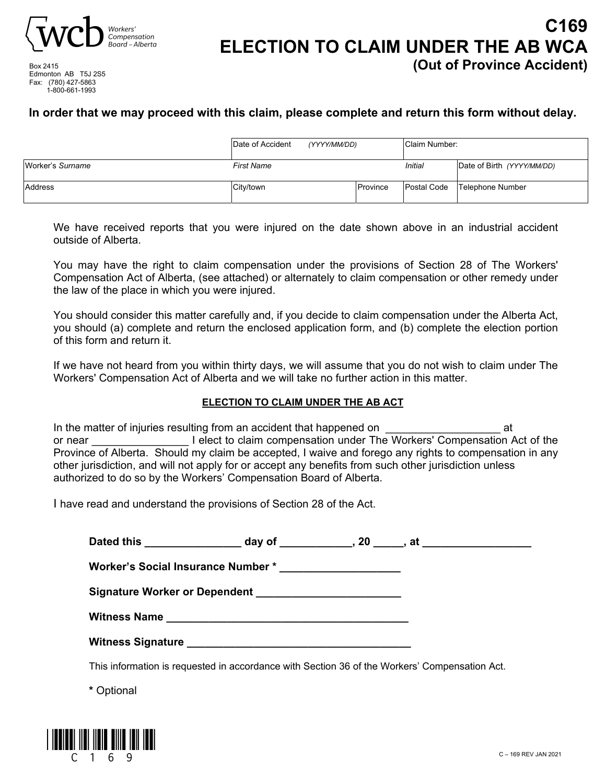

**C169 ELECTION TO CLAIM UNDER THE AB WCA (Out of Province Accident)**

Box 2415 Edmonton AB T5J 2S5 Fax: (780) 427-5863 1-800-661-1993

### **In order that we may proceed with this claim, please complete and return this form without delay.**

|                  | Date of Accident  | (YYYY/MM/DD) |          | Claim Number: |                            |
|------------------|-------------------|--------------|----------|---------------|----------------------------|
| Worker's Surname | <b>First Name</b> |              |          | Initial       | Date of Birth (YYYY/MM/DD) |
| Address          | City/town         |              | Province | Postal Code   | Telephone Number           |

We have received reports that you were injured on the date shown above in an industrial accident outside of Alberta.

You may have the right to claim compensation under the provisions of Section 28 of The Workers' Compensation Act of Alberta, (see attached) or alternately to claim compensation or other remedy under the law of the place in which you were injured.

You should consider this matter carefully and, if you decide to claim compensation under the Alberta Act, you should (a) complete and return the enclosed application form, and (b) complete the election portion of this form and return it.

If we have not heard from you within thirty days, we will assume that you do not wish to claim under The Workers' Compensation Act of Alberta and we will take no further action in this matter.

#### **ELECTION TO CLAIM UNDER THE AB ACT**

In the matter of injuries resulting from an accident that happened on  $\qquad \qquad$  at or near **Example 20** I elect to claim compensation under The Workers' Compensation Act of the Province of Alberta. Should my claim be accepted, I waive and forego any rights to compensation in any other jurisdiction, and will not apply for or accept any benefits from such other jurisdiction unless authorized to do so by the Workers' Compensation Board of Alberta.

I have read and understand the provisions of Section 28 of the Act.

| Dated this ___________________ day of _____________, 20 _____, at ______________                                                                                                                                               |  |  |
|--------------------------------------------------------------------------------------------------------------------------------------------------------------------------------------------------------------------------------|--|--|
| Worker's Social Insurance Number * _______________________                                                                                                                                                                     |  |  |
| Signature Worker or Dependent ___________________________                                                                                                                                                                      |  |  |
|                                                                                                                                                                                                                                |  |  |
| Witness Signature Later and Contract and Contract and Contract and Contract and Contract and Contract and Contract and Contract and Contract and Contract and Contract and Contract and Contract and Contract and Contract and |  |  |

This information is requested in accordance with Section 36 of the Workers' Compensation Act.

**\*** Optional